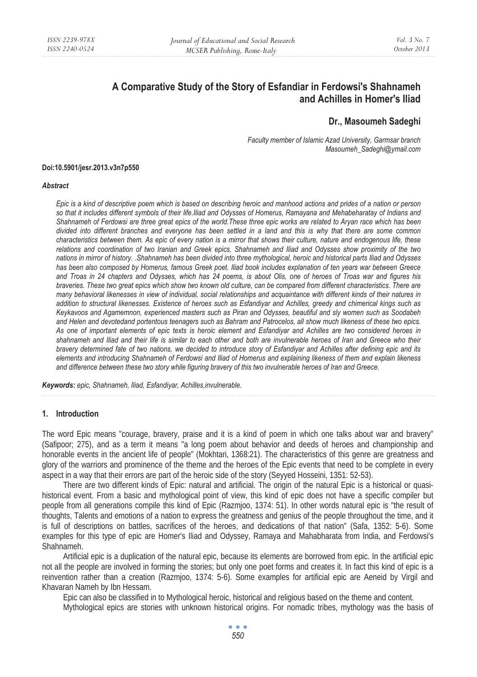# **A Comparative Study of the Story of Esfandiar in Ferdowsi's Shahnameh and Achilles in Homer's Iliad**

## **Dr., Masoumeh Sadeghi**

*Faculty member of Islamic Azad University, Garmsar branch Masoumeh\_Sadeghi@ymail.com*

#### **Doi:10.5901/jesr.2013.v3n7p550**

#### *Abstract*

*Epic is a kind of descriptive poem which is based on describing heroic and manhood actions and prides of a nation or person so that it includes different symbols of their life.Iliad and Odysses of Homerus, Ramayana and Mehabeharatay of Indians and Shahnameh of Ferdowsi are three great epics of the world.These three epic works are related to Aryan race which has been divided into different branches and everyone has been settled in a land and this is why that there are some common characteristics between them. As epic of every nation is a mirror that shows their culture, nature and endogenous life, these relations and coordination of two Iranian and Greek epics, Shahnameh and Iliad and Odysses show proximity of the two nations in mirror of history.* .*Shahnameh has been divided into three mythological, heroic and historical parts Iliad and Odysses has been also composed by Homerus, famous Greek poet. Iliad book includes explanation of ten years war between Greece and Troas in 24 chapters and Odysses, which has 24 poems, is about Olis, one of heroes of Troas war and figures his braveries. These two great epics which show two known old culture, can be compared from different characteristics. There are many behavioral likenesses in view of individual, social relationships and acquaintance with different kinds of their natures in addition to structural likenesses. Existence of heroes such as Esfandiyar and Achilles, greedy and chimerical kings such as Keykavoos and Agamemnon, experienced masters such as Piran and Odysses, beautiful and sly women such as Soodabeh and Helen and devotedand portentous teenagers such as Bahram and Patrocelos, all show much likeness of these two epics. As one of important elements of epic texts is heroic element and Esfandiyar and Achilles are two considered heroes in shahnameh and Iliad and their life is similar to each other and both are invulnerable heroes of Iran and Greece who their bravery determined fate of two nations, we decided to introduce story of Esfandiyar and Achilles after defining epic and its elements and introducing Shahnameh of Ferdowsi and Iliad of Homerus and explaining likeness of them and explain likeness and difference between these two story while figuring bravery of this two invulnerable heroes of Iran and Greece.* 

*Keywords: epic, Shahnameh, Iliad, Esfandiyar, Achilles,invulnerable.* 

#### **1. Introduction**

The word Epic means "courage, bravery, praise and it is a kind of poem in which one talks about war and bravery" (Safipoor; 275), and as a term it means "a long poem about behavior and deeds of heroes and championship and honorable events in the ancient life of people" (Mokhtari, 1368:21). The characteristics of this genre are greatness and glory of the warriors and prominence of the theme and the heroes of the Epic events that need to be complete in every aspect in a way that their errors are part of the heroic side of the story (Seyyed Hosseini, 1351: 52-53).

There are two different kinds of Epic: natural and artificial. The origin of the natural Epic is a historical or quasihistorical event. From a basic and mythological point of view, this kind of epic does not have a specific compiler but people from all generations compile this kind of Epic (Razmjoo, 1374: 51). In other words natural epic is "the result of thoughts, Talents and emotions of a nation to express the greatness and genius of the people throughout the time, and it is full of descriptions on battles, sacrifices of the heroes, and dedications of that nation" (Safa, 1352: 5-6). Some examples for this type of epic are Homer's Iliad and Odyssey, Ramaya and Mahabharata from India, and Ferdowsi's Shahnameh.

Artificial epic is a duplication of the natural epic, because its elements are borrowed from epic. In the artificial epic not all the people are involved in forming the stories; but only one poet forms and creates it. In fact this kind of epic is a reinvention rather than a creation (Razmjoo, 1374: 5-6). Some examples for artificial epic are Aeneid by Virgil and Khavaran Nameh by Ibn Hessam.

Epic can also be classified in to Mythological heroic, historical and religious based on the theme and content.

Mythological epics are stories with unknown historical origins. For nomadic tribes, mythology was the basis of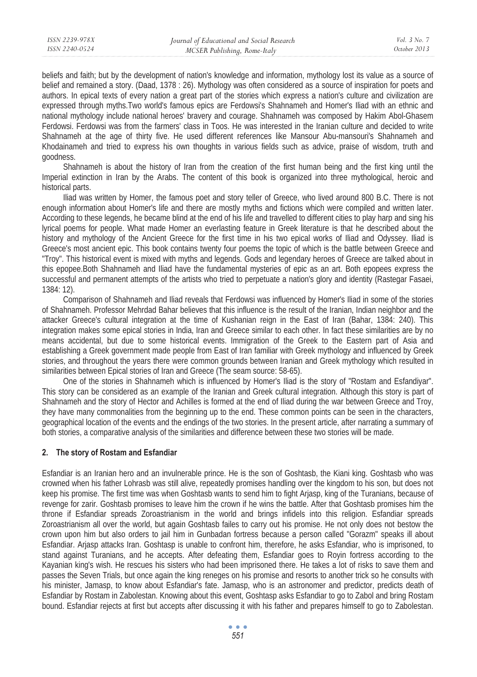beliefs and faith; but by the development of nation's knowledge and information, mythology lost its value as a source of belief and remained a story. (Daad, 1378 : 26). Mythology was often considered as a source of inspiration for poets and authors. In epical texts of every nation a great part of the stories which express a nation's culture and civilization are expressed through myths.Two world's famous epics are Ferdowsi's Shahnameh and Homer's Iliad with an ethnic and national mythology include national heroes' bravery and courage. Shahnameh was composed by Hakim Abol-Ghasem Ferdowsi. Ferdowsi was from the farmers' class in Toos. He was interested in the Iranian culture and decided to write Shahnameh at the age of thirty five. He used different references like Mansour Abu-mansouri's Shahnameh and Khodainameh and tried to express his own thoughts in various fields such as advice, praise of wisdom, truth and goodness.

Shahnameh is about the history of Iran from the creation of the first human being and the first king until the Imperial extinction in Iran by the Arabs. The content of this book is organized into three mythological, heroic and historical parts.

Iliad was written by Homer, the famous poet and story teller of Greece, who lived around 800 B.C. There is not enough information about Homer's life and there are mostly myths and fictions which were compiled and written later. According to these legends, he became blind at the end of his life and travelled to different cities to play harp and sing his lyrical poems for people. What made Homer an everlasting feature in Greek literature is that he described about the history and mythology of the Ancient Greece for the first time in his two epical works of Iliad and Odyssey. Iliad is Greece's most ancient epic. This book contains twenty four poems the topic of which is the battle between Greece and "Troy". This historical event is mixed with myths and legends. Gods and legendary heroes of Greece are talked about in this epopee.Both Shahnameh and Iliad have the fundamental mysteries of epic as an art. Both epopees express the successful and permanent attempts of the artists who tried to perpetuate a nation's glory and identity (Rastegar Fasaei, 1384: 12).

Comparison of Shahnameh and Iliad reveals that Ferdowsi was influenced by Homer's Iliad in some of the stories of Shahnameh. Professor Mehrdad Bahar believes that this influence is the result of the Iranian, Indian neighbor and the attacker Greece's cultural integration at the time of Kushanian reign in the East of Iran (Bahar, 1384: 240). This integration makes some epical stories in India, Iran and Greece similar to each other. In fact these similarities are by no means accidental, but due to some historical events. Immigration of the Greek to the Eastern part of Asia and establishing a Greek government made people from East of Iran familiar with Greek mythology and influenced by Greek stories, and throughout the years there were common grounds between Iranian and Greek mythology which resulted in similarities between Epical stories of Iran and Greece (The seam source: 58-65).

One of the stories in Shahnameh which is influenced by Homer's Iliad is the story of "Rostam and Esfandiyar". This story can be considered as an example of the Iranian and Greek cultural integration. Although this story is part of Shahnameh and the story of Hector and Achilles is formed at the end of Iliad during the war between Greece and Troy, they have many commonalities from the beginning up to the end. These common points can be seen in the characters, geographical location of the events and the endings of the two stories. In the present article, after narrating a summary of both stories, a comparative analysis of the similarities and difference between these two stories will be made.

## **2. The story of Rostam and Esfandiar**

Esfandiar is an Iranian hero and an invulnerable prince. He is the son of Goshtasb, the Kiani king. Goshtasb who was crowned when his father Lohrasb was still alive, repeatedly promises handling over the kingdom to his son, but does not keep his promise. The first time was when Goshtasb wants to send him to fight Arjasp, king of the Turanians, because of revenge for zarir. Goshtasb promises to leave him the crown if he wins the battle. After that Goshtasb promises him the throne if Esfandiar spreads Zoroastrianism in the world and brings infidels into this religion. Esfandiar spreads Zoroastrianism all over the world, but again Goshtasb failes to carry out his promise. He not only does not bestow the crown upon him but also orders to jail him in Gunbadan fortress because a person called "Gorazm" speaks ill about Esfandiar. Arjasp attacks Iran. Goshtasp is unable to confront him, therefore, he asks Esfandiar, who is imprisoned, to stand against Turanians, and he accepts. After defeating them, Esfandiar goes to Royin fortress according to the Kayanian king's wish. He rescues his sisters who had been imprisoned there. He takes a lot of risks to save them and passes the Seven Trials, but once again the king reneges on his promise and resorts to another trick so he consults with his minister, Jamasp, to know about Esfandiar's fate. Jamasp, who is an astronomer and predictor, predicts death of Esfandiar by Rostam in Zabolestan. Knowing about this event, Goshtasp asks Esfandiar to go to Zabol and bring Rostam bound. Esfandiar rejects at first but accepts after discussing it with his father and prepares himself to go to Zabolestan.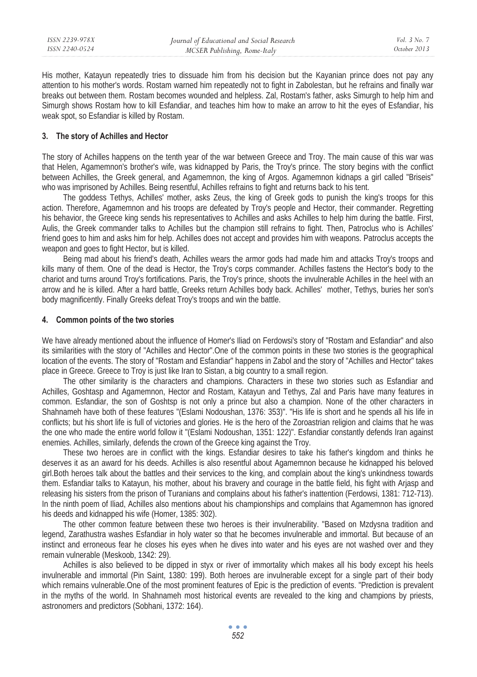| ISSN 2239-978X | Journal of Educational and Social Research | Vol. 3 No. 7 |
|----------------|--------------------------------------------|--------------|
| ISSN 2240-0524 | MCSER Publishing, Rome-Italy               | October 2013 |
|                |                                            |              |

His mother, Katayun repeatedly tries to dissuade him from his decision but the Kayanian prince does not pay any attention to his mother's words. Rostam warned him repeatedly not to fight in Zabolestan, but he refrains and finally war breaks out between them. Rostam becomes wounded and helpless. Zal, Rostam's father, asks Simurgh to help him and Simurgh shows Rostam how to kill Esfandiar, and teaches him how to make an arrow to hit the eyes of Esfandiar, his weak spot, so Esfandiar is killed by Rostam.

#### **3. The story of Achilles and Hector**

The story of Achilles happens on the tenth year of the war between Greece and Troy. The main cause of this war was that Helen, Agamemnon's brother's wife, was kidnapped by Paris, the Troy's prince. The story begins with the conflict between Achilles, the Greek general, and Agamemnon, the king of Argos. Agamemnon kidnaps a girl called "Briseis" who was imprisoned by Achilles. Being resentful, Achilles refrains to fight and returns back to his tent.

The goddess Tethys, Achilles' mother, asks Zeus, the king of Greek gods to punish the king's troops for this action. Therefore, Agamemnon and his troops are defeated by Troy's people and Hector, their commander. Regretting his behavior, the Greece king sends his representatives to Achilles and asks Achilles to help him during the battle. First, Aulis, the Greek commander talks to Achilles but the champion still refrains to fight. Then, Patroclus who is Achilles' friend goes to him and asks him for help. Achilles does not accept and provides him with weapons. Patroclus accepts the weapon and goes to fight Hector, but is killed.

Being mad about his friend's death, Achilles wears the armor gods had made him and attacks Troy's troops and kills many of them. One of the dead is Hector, the Troy's corps commander. Achilles fastens the Hector's body to the chariot and turns around Troy's fortifications. Paris, the Troy's prince, shoots the invulnerable Achilles in the heel with an arrow and he is killed. After a hard battle, Greeks return Achilles body back. Achilles' mother, Tethys, buries her son's body magnificently. Finally Greeks defeat Troy's troops and win the battle.

#### **4. Common points of the two stories**

We have already mentioned about the influence of Homer's Iliad on Ferdowsi's story of "Rostam and Esfandiar" and also its similarities with the story of "Achilles and Hector".One of the common points in these two stories is the geographical location of the events. The story of "Rostam and Esfandiar" happens in Zabol and the story of "Achilles and Hector" takes place in Greece. Greece to Troy is just like Iran to Sistan, a big country to a small region.

The other similarity is the characters and champions. Characters in these two stories such as Esfandiar and Achilles, Goshtasp and Agamemnon, Hector and Rostam, Katayun and Tethys, Zal and Paris have many features in common. Esfandiar, the son of Goshtsp is not only a prince but also a champion. None of the other characters in Shahnameh have both of these features "(Eslami Nodoushan, 1376: 353)". "His life is short and he spends all his life in conflicts; but his short life is full of victories and glories. He is the hero of the Zoroastrian religion and claims that he was the one who made the entire world follow it "(Eslami Nodoushan, 1351: 122)". Esfandiar constantly defends Iran against enemies. Achilles, similarly, defends the crown of the Greece king against the Troy.

These two heroes are in conflict with the kings. Esfandiar desires to take his father's kingdom and thinks he deserves it as an award for his deeds. Achilles is also resentful about Agamemnon because he kidnapped his beloved girl.Both heroes talk about the battles and their services to the king, and complain about the king's unkindness towards them. Esfandiar talks to Katayun, his mother, about his bravery and courage in the battle field, his fight with Arjasp and releasing his sisters from the prison of Turanians and complains about his father's inattention (Ferdowsi, 1381: 712-713). In the ninth poem of Iliad, Achilles also mentions about his championships and complains that Agamemnon has ignored his deeds and kidnapped his wife (Homer, 1385: 302).

The other common feature between these two heroes is their invulnerability. "Based on Mzdysna tradition and legend, Zarathustra washes Esfandiar in holy water so that he becomes invulnerable and immortal. But because of an instinct and erroneous fear he closes his eyes when he dives into water and his eyes are not washed over and they remain vulnerable (Meskoob, 1342: 29).

Achilles is also believed to be dipped in styx or river of immortality which makes all his body except his heels invulnerable and immortal (Pin Saint, 1380: 199). Both heroes are invulnerable except for a single part of their body which remains vulnerable.One of the most prominent features of Epic is the prediction of events. "Prediction is prevalent in the myths of the world. In Shahnameh most historical events are revealed to the king and champions by priests, astronomers and predictors (Sobhani, 1372: 164).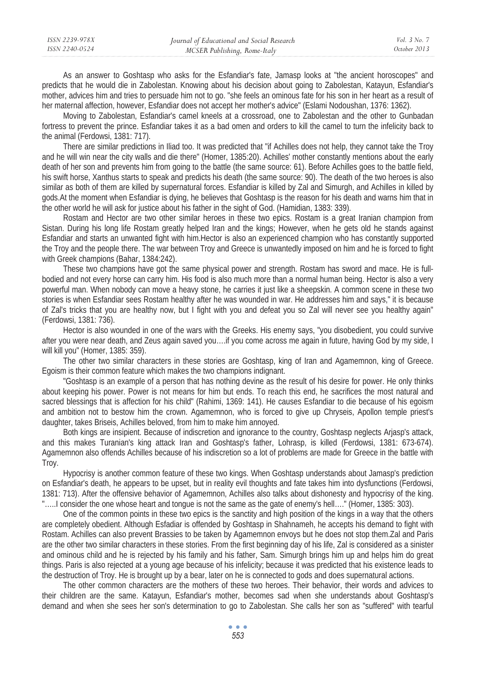| ISSN 2239-978X | Journal of Educational and Social Research | Vol. 3 No. 7 |
|----------------|--------------------------------------------|--------------|
| ISSN 2240-0524 | MCSER Publishing, Rome-Italy               | October 2013 |
|                |                                            |              |

As an answer to Goshtasp who asks for the Esfandiar's fate, Jamasp looks at "the ancient horoscopes" and predicts that he would die in Zabolestan. Knowing about his decision about going to Zabolestan, Katayun, Esfandiar's mother, advices him and tries to persuade him not to go. "she feels an ominous fate for his son in her heart as a result of her maternal affection, however, Esfandiar does not accept her mother's advice" (Eslami Nodoushan, 1376: 1362).

Moving to Zabolestan, Esfandiar's camel kneels at a crossroad, one to Zabolestan and the other to Gunbadan fortress to prevent the prince. Esfandiar takes it as a bad omen and orders to kill the camel to turn the infelicity back to the animal (Ferdowsi, 1381: 717).

There are similar predictions in Iliad too. It was predicted that "if Achilles does not help, they cannot take the Troy and he will win near the city walls and die there" (Homer, 1385:20). Achilles' mother constantly mentions about the early death of her son and prevents him from going to the battle (the same source: 61). Before Achilles goes to the battle field, his swift horse, Xanthus starts to speak and predicts his death (the same source: 90). The death of the two heroes is also similar as both of them are killed by supernatural forces. Esfandiar is killed by Zal and Simurgh, and Achilles in killed by gods.At the moment when Esfandiar is dying, he believes that Goshtasp is the reason for his death and warns him that in the other world he will ask for justice about his father in the sight of God. (Hamidian, 1383: 339).

Rostam and Hector are two other similar heroes in these two epics. Rostam is a great Iranian champion from Sistan. During his long life Rostam greatly helped Iran and the kings; However, when he gets old he stands against Esfandiar and starts an unwanted fight with him.Hector is also an experienced champion who has constantly supported the Troy and the people there. The war between Troy and Greece is unwantedly imposed on him and he is forced to fight with Greek champions (Bahar, 1384:242).

These two champions have got the same physical power and strength. Rostam has sword and mace. He is fullbodied and not every horse can carry him. His food is also much more than a normal human being. Hector is also a very powerful man. When nobody can move a heavy stone, he carries it just like a sheepskin. A common scene in these two stories is when Esfandiar sees Rostam healthy after he was wounded in war. He addresses him and says," it is because of Zal's tricks that you are healthy now, but I fight with you and defeat you so Zal will never see you healthy again" (Ferdowsi, 1381: 736).

Hector is also wounded in one of the wars with the Greeks. His enemy says, "you disobedient, you could survive after you were near death, and Zeus again saved you….if you come across me again in future, having God by my side, I will kill you" (Homer, 1385: 359).

The other two similar characters in these stories are Goshtasp, king of Iran and Agamemnon, king of Greece. Egoism is their common feature which makes the two champions indignant.

"Goshtasp is an example of a person that has nothing devine as the result of his desire for power. He only thinks about keeping his power. Power is not means for him but ends. To reach this end, he sacrifices the most natural and sacred blessings that is affection for his child" (Rahimi, 1369: 141). He causes Esfandiar to die because of his egoism and ambition not to bestow him the crown. Agamemnon, who is forced to give up Chryseis, Apollon temple priest's daughter, takes Briseis, Achilles beloved, from him to make him annoyed.

Both kings are insipient. Because of indiscretion and ignorance to the country, Goshtasp neglects Arjasp's attack, and this makes Turanian's king attack Iran and Goshtasp's father, Lohrasp, is killed (Ferdowsi, 1381: 673-674). Agamemnon also offends Achilles because of his indiscretion so a lot of problems are made for Greece in the battle with Troy.

Hypocrisy is another common feature of these two kings. When Goshtasp understands about Jamasp's prediction on Esfandiar's death, he appears to be upset, but in reality evil thoughts and fate takes him into dysfunctions (Ferdowsi, 1381: 713). After the offensive behavior of Agamemnon, Achilles also talks about dishonesty and hypocrisy of the king. "…..I consider the one whose heart and tongue is not the same as the gate of enemy's hell…." (Homer, 1385: 303).

One of the common points in these two epics is the sanctity and high position of the kings in a way that the others are completely obedient. Although Esfadiar is offended by Goshtasp in Shahnameh, he accepts his demand to fight with Rostam. Achilles can also prevent Brassies to be taken by Agamemnon envoys but he does not stop them.Zal and Paris are the other two similar characters in these stories. From the first beginning day of his life, Zal is considered as a sinister and ominous child and he is rejected by his family and his father, Sam. Simurgh brings him up and helps him do great things. Paris is also rejected at a young age because of his infelicity; because it was predicted that his existence leads to the destruction of Troy. He is brought up by a bear, later on he is connected to gods and does supernatural actions.

The other common characters are the mothers of these two heroes. Their behavior, their words and advices to their children are the same. Katayun, Esfandiar's mother, becomes sad when she understands about Goshtasp's demand and when she sees her son's determination to go to Zabolestan. She calls her son as "suffered" with tearful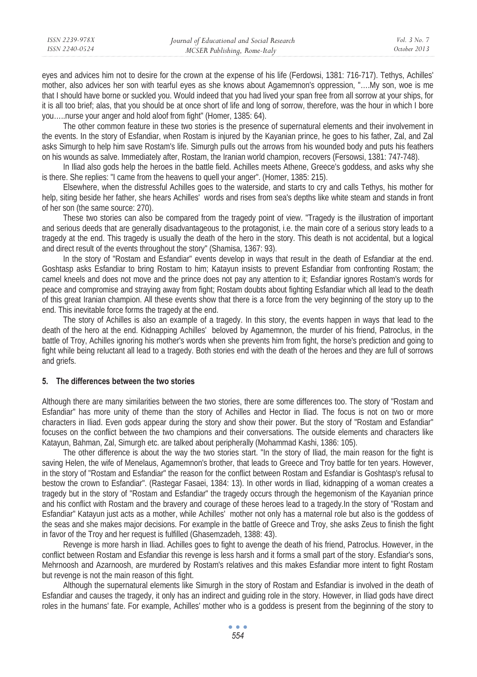| ISSN 2239-978X | Journal of Educational and Social Research | Vol. 3 No. 7 |
|----------------|--------------------------------------------|--------------|
| ISSN 2240-0524 | MCSER Publishing, Rome-Italy               | October 2013 |
|                |                                            |              |

eyes and advices him not to desire for the crown at the expense of his life (Ferdowsi, 1381: 716-717). Tethys, Achilles' mother, also advices her son with tearful eyes as she knows about Agamemnon's oppression, "….My son, woe is me that I should have borne or suckled you. Would indeed that you had lived your span free from all sorrow at your ships, for it is all too brief; alas, that you should be at once short of life and long of sorrow, therefore, was the hour in which I bore you…..nurse your anger and hold aloof from fight" (Homer, 1385: 64).

The other common feature in these two stories is the presence of supernatural elements and their involvement in the events. In the story of Esfandiar, when Rostam is injured by the Kayanian prince, he goes to his father, Zal, and Zal asks Simurgh to help him save Rostam's life. Simurgh pulls out the arrows from his wounded body and puts his feathers on his wounds as salve. Immediately after, Rostam, the Iranian world champion, recovers (Fersowsi, 1381: 747-748).

In Iliad also gods help the heroes in the battle field. Achilles meets Athene, Greece's goddess, and asks why she is there. She replies: "I came from the heavens to quell your anger". (Homer, 1385: 215).

Elsewhere, when the distressful Achilles goes to the waterside, and starts to cry and calls Tethys, his mother for help, siting beside her father, she hears Achilles' words and rises from sea's depths like white steam and stands in front of her son (the same source: 270).

These two stories can also be compared from the tragedy point of view. "Tragedy is the illustration of important and serious deeds that are generally disadvantageous to the protagonist, i.e. the main core of a serious story leads to a tragedy at the end. This tragedy is usually the death of the hero in the story. This death is not accidental, but a logical and direct result of the events throughout the story" (Shamisa, 1367: 93).

In the story of "Rostam and Esfandiar" events develop in ways that result in the death of Esfandiar at the end. Goshtasp asks Esfandiar to bring Rostam to him; Katayun insists to prevent Esfandiar from confronting Rostam; the camel kneels and does not move and the prince does not pay any attention to it; Esfandiar ignores Rostam's words for peace and compromise and straying away from fight; Rostam doubts about fighting Esfandiar which all lead to the death of this great Iranian champion. All these events show that there is a force from the very beginning of the story up to the end. This inevitable force forms the tragedy at the end.

The story of Achilles is also an example of a tragedy. In this story, the events happen in ways that lead to the death of the hero at the end. Kidnapping Achilles' beloved by Agamemnon, the murder of his friend, Patroclus, in the battle of Troy, Achilles ignoring his mother's words when she prevents him from fight, the horse's prediction and going to fight while being reluctant all lead to a tragedy. Both stories end with the death of the heroes and they are full of sorrows and griefs.

#### **5. The differences between the two stories**

Although there are many similarities between the two stories, there are some differences too. The story of "Rostam and Esfandiar" has more unity of theme than the story of Achilles and Hector in Iliad. The focus is not on two or more characters in Iliad. Even gods appear during the story and show their power. But the story of "Rostam and Esfandiar" focuses on the conflict between the two champions and their conversations. The outside elements and characters like Katayun, Bahman, Zal, Simurgh etc. are talked about peripherally (Mohammad Kashi, 1386: 105).

The other difference is about the way the two stories start. "In the story of Iliad, the main reason for the fight is saving Helen, the wife of Menelaus, Agamemnon's brother, that leads to Greece and Troy battle for ten years. However, in the story of "Rostam and Esfandiar" the reason for the conflict between Rostam and Esfandiar is Goshtasp's refusal to bestow the crown to Esfandiar". (Rastegar Fasaei, 1384: 13). In other words in Iliad, kidnapping of a woman creates a tragedy but in the story of "Rostam and Esfandiar" the tragedy occurs through the hegemonism of the Kayanian prince and his conflict with Rostam and the bravery and courage of these heroes lead to a tragedy.In the story of "Rostam and Esfandiar" Katayun just acts as a mother, while Achilles' mother not only has a maternal role but also is the goddess of the seas and she makes major decisions. For example in the battle of Greece and Troy, she asks Zeus to finish the fight in favor of the Troy and her request is fulfilled (Ghasemzadeh, 1388: 43).

Revenge is more harsh in Iliad. Achilles goes to fight to avenge the death of his friend, Patroclus. However, in the conflict between Rostam and Esfandiar this revenge is less harsh and it forms a small part of the story. Esfandiar's sons, Mehrnoosh and Azarnoosh, are murdered by Rostam's relatives and this makes Esfandiar more intent to fight Rostam but revenge is not the main reason of this fight.

Although the supernatural elements like Simurgh in the story of Rostam and Esfandiar is involved in the death of Esfandiar and causes the tragedy, it only has an indirect and guiding role in the story. However, in Iliad gods have direct roles in the humans' fate. For example, Achilles' mother who is a goddess is present from the beginning of the story to